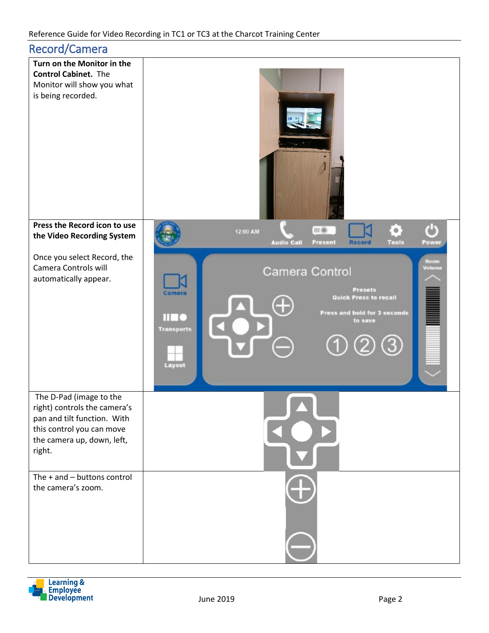| <b>Record/Camera</b>                                                                                                                                        |                                                                                                                                                                           |
|-------------------------------------------------------------------------------------------------------------------------------------------------------------|---------------------------------------------------------------------------------------------------------------------------------------------------------------------------|
| Turn on the Monitor in the<br><b>Control Cabinet.</b> The<br>Monitor will show you what<br>is being recorded.                                               |                                                                                                                                                                           |
| Press the Record icon to use<br>the Video Recording System                                                                                                  | $\Phi$<br>III®<br>12:00 AM<br><b>Audio Call</b><br><b>Record</b><br><b>Tools</b><br>Present<br>Power                                                                      |
| Once you select Record, the<br>Camera Controls will<br>automatically appear.                                                                                | Room<br>Volume<br>Camera Control<br><b>Presets</b><br>Camera<br>Quick Press to recall<br>Œ<br>Press and hold for 3 seconds<br>Ш<br>to save<br><b>Transports</b><br>Layout |
| The D-Pad (image to the<br>right) controls the camera's<br>pan and tilt function. With<br>this control you can move<br>the camera up, down, left,<br>right. |                                                                                                                                                                           |
| The $+$ and $-$ buttons control<br>the camera's zoom.                                                                                                       |                                                                                                                                                                           |

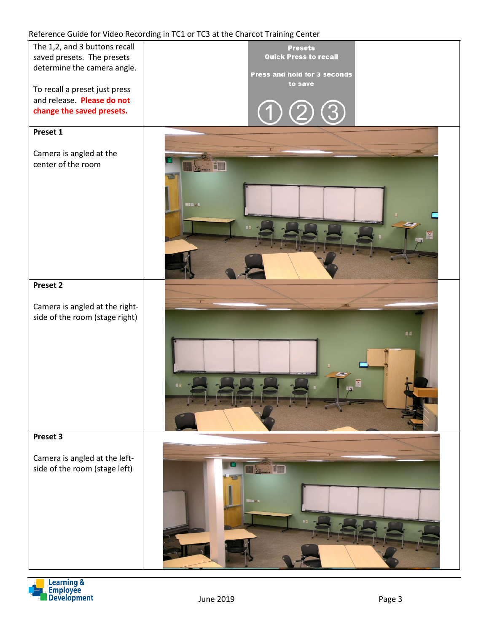#### Reference Guide for Video Recording in TC1 or TC3 at the Charcot Training Center



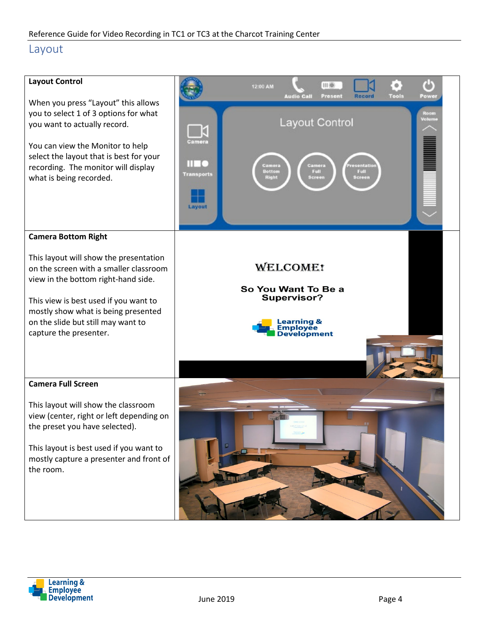#### Layout



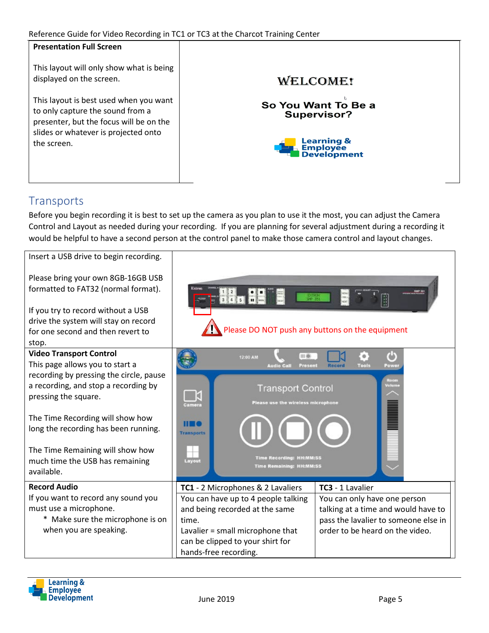| <u>nciclence daide for video necording in Tel of Tes at the charcot framing center</u>                                |                                           |
|-----------------------------------------------------------------------------------------------------------------------|-------------------------------------------|
| <b>Presentation Full Screen</b>                                                                                       |                                           |
| This layout will only show what is being<br>displayed on the screen.                                                  | <b>WELCOME!</b>                           |
| This layout is best used when you want<br>to only capture the sound from a<br>presenter, but the focus will be on the | So You Want To Be a<br><b>Supervisor?</b> |
| slides or whatever is projected onto<br>the screen.                                                                   | Learning &<br>Employee<br>Development     |
|                                                                                                                       |                                           |

## **Transports**

Before you begin recording it is best to set up the camera as you plan to use it the most, you can adjust the Camera Control and Layout as needed during your recording. If you are planning for several adjustment during a recording it would be helpful to have a second person at the control panel to make those camera control and layout changes.

| Insert a USB drive to begin recording.  |                                                 |                                                                             |  |
|-----------------------------------------|-------------------------------------------------|-----------------------------------------------------------------------------|--|
| Please bring your own 8GB-16GB USB      |                                                 |                                                                             |  |
| formatted to FAT32 (normal format).     | <u> pe d</u><br>EXTRON                          | 1111                                                                        |  |
| If you try to record without a USB      |                                                 |                                                                             |  |
| drive the system will stay on record    |                                                 |                                                                             |  |
| for one second and then revert to       | Please DO NOT push any buttons on the equipment |                                                                             |  |
| stop.                                   |                                                 |                                                                             |  |
| <b>Video Transport Control</b>          | 111.08<br>12:00 AM                              |                                                                             |  |
| This page allows you to start a         | <b>Audio Call</b><br>Present                    | Tools<br>Record<br>Power                                                    |  |
| recording by pressing the circle, pause |                                                 |                                                                             |  |
| a recording, and stop a recording by    | <b>Transport Control</b><br>ú                   |                                                                             |  |
| pressing the square.                    | Please use the wireless microphone<br>Camera    |                                                                             |  |
| The Time Recording will show how        |                                                 | <u>Mana</u>                                                                 |  |
| long the recording has been running.    |                                                 |                                                                             |  |
|                                         | <b>Transports</b>                               |                                                                             |  |
| The Time Remaining will show how        |                                                 |                                                                             |  |
| much time the USB has remaining         | <b>Time Recording: HH:MM:SS</b><br>Layout       |                                                                             |  |
| available.                              | <b>Time Remaining: HH:MM:SS</b>                 |                                                                             |  |
| <b>Record Audio</b>                     |                                                 | TC3 - 1 Lavalier                                                            |  |
| If you want to record any sound you     | TC1 - 2 Microphones & 2 Lavaliers               |                                                                             |  |
| must use a microphone.                  | You can have up to 4 people talking             | You can only have one person                                                |  |
| * Make sure the microphone is on        | and being recorded at the same<br>time.         | talking at a time and would have to<br>pass the lavalier to someone else in |  |
| when you are speaking.                  | Lavalier = small microphone that                | order to be heard on the video.                                             |  |
|                                         | can be clipped to your shirt for                |                                                                             |  |
|                                         | hands-free recording.                           |                                                                             |  |
|                                         |                                                 |                                                                             |  |

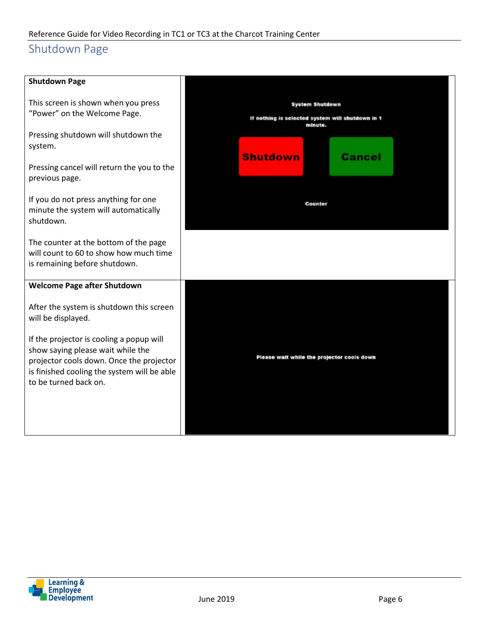# Shutdown Page

| <b>Shutdown Page</b>                                                                                                                                                                              |                                                                                |                                            |
|---------------------------------------------------------------------------------------------------------------------------------------------------------------------------------------------------|--------------------------------------------------------------------------------|--------------------------------------------|
| This screen is shown when you press<br>"Power" on the Welcome Page.                                                                                                                               | System Shutdown<br>If nothing is selected system will shutdown in 1<br>minute. |                                            |
| Pressing shutdown will shutdown the<br>system.                                                                                                                                                    | <b>Shutdown</b>                                                                | Cancel                                     |
| Pressing cancel will return the you to the<br>previous page.                                                                                                                                      |                                                                                |                                            |
| If you do not press anything for one<br>minute the system will automatically<br>shutdown.                                                                                                         |                                                                                | Counter                                    |
| The counter at the bottom of the page<br>will count to 60 to show how much time<br>is remaining before shutdown.                                                                                  |                                                                                |                                            |
| <b>Welcome Page after Shutdown</b>                                                                                                                                                                |                                                                                |                                            |
| After the system is shutdown this screen<br>will be displayed.                                                                                                                                    |                                                                                |                                            |
| If the projector is cooling a popup will<br>show saying please wait while the<br>projector cools down. Once the projector<br>is finished cooling the system will be able<br>to be turned back on. |                                                                                | Please wait while the projector cools down |
|                                                                                                                                                                                                   |                                                                                |                                            |